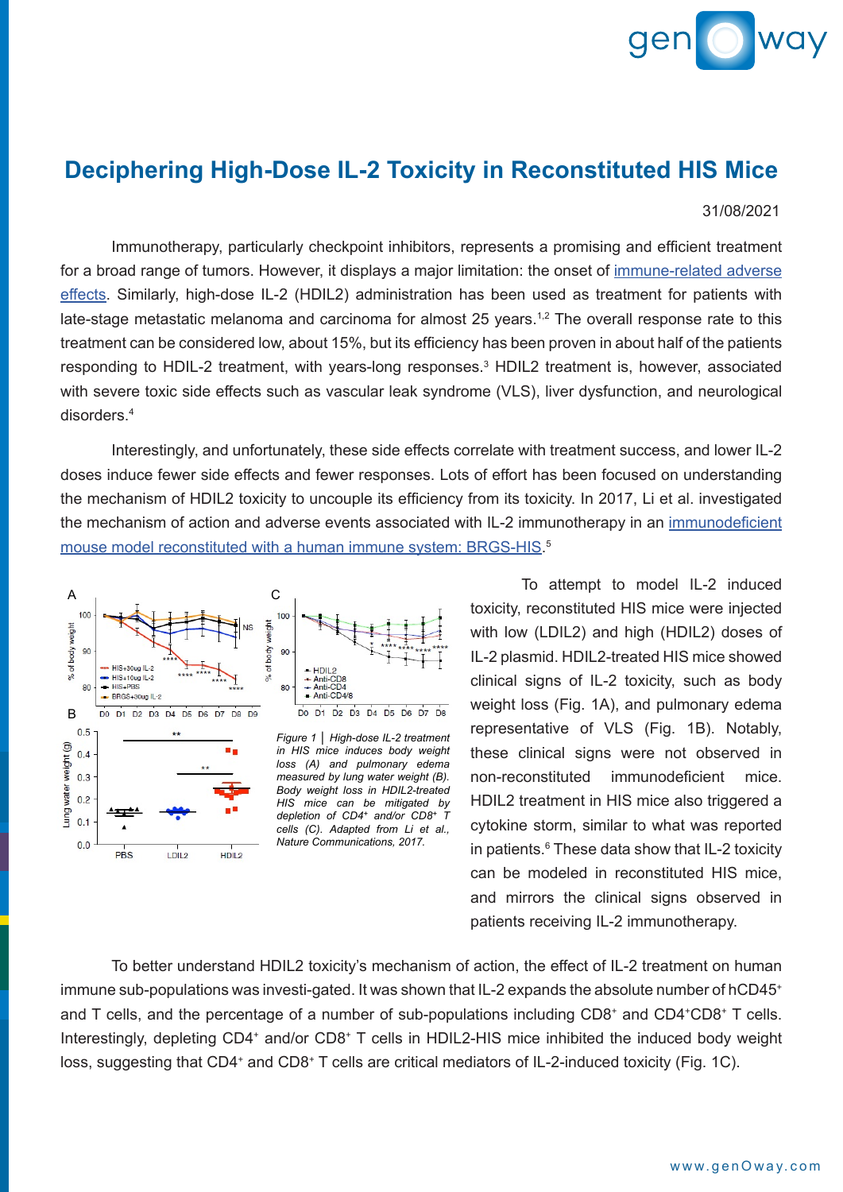

## **Deciphering High-Dose IL-2 Toxicity in Reconstituted HIS Mice**

31/08/2021

 Immunotherapy, particularly checkpoint inhibitors, represents a promising and efficient treatment for a broad range of tumors. However, it displays a major limitation: the onset of [immune-related adverse](https://www.genoway.com/commentaries/uncoupling-toxicity-from-therapeutic-efficacy.htm?utm_source=case_study&utm_medium=pdf&utm_campaign=webpage) [effects.](https://www.genoway.com/commentaries/uncoupling-toxicity-from-therapeutic-efficacy.htm?utm_source=case_study&utm_medium=pdf&utm_campaign=webpage) Similarly, high-dose IL-2 (HDIL2) administration has been used as treatment for patients with late-stage metastatic melanoma and carcinoma for almost 25 years.<sup>1,2</sup> The overall response rate to this treatment can be considered low, about 15%, but its efficiency has been proven in about half of the patients responding to HDIL-2 treatment, with years-long responses.<sup>3</sup> HDIL2 treatment is, however, associated with severe toxic side effects such as vascular leak syndrome (VLS), liver dysfunction, and neurological disorders.4

Interestingly, and unfortunately, these side effects correlate with treatment success, and lower IL-2 doses induce fewer side effects and fewer responses. Lots of effort has been focused on understanding the mechanism of HDIL2 toxicity to uncouple its efficiency from its toxicity. In 2017, Li et al. investigated the mechanism of action and adverse events associated with IL-2 immunotherapy in an [immunodeficient](https://www.genoway.com/catalog/immunodeficiency/his/brgsf-his.htm?utm_source=case_study&utm_medium=pdf&utm_campaign=webpage) [mouse model reconstituted with a human immune system: BRGS-HIS.](https://www.genoway.com/catalog/immunodeficiency/his/brgsf-his.htm?utm_source=case_study&utm_medium=pdf&utm_campaign=webpage) 5



To attempt to model IL-2 induced toxicity, reconstituted HIS mice were injected with low (LDIL2) and high (HDIL2) doses of IL-2 plasmid. HDIL2-treated HIS mice showed clinical signs of IL-2 toxicity, such as body weight loss (Fig. 1A), and pulmonary edema representative of VLS (Fig. 1B). Notably, these clinical signs were not observed in non-reconstituted immunodeficient mice. HDIL2 treatment in HIS mice also triggered a cytokine storm, similar to what was reported in patients.<sup>6</sup> These data show that IL-2 toxicity can be modeled in reconstituted HIS mice, and mirrors the clinical signs observed in patients receiving IL-2 immunotherapy.

To better understand HDIL2 toxicity's mechanism of action, the effect of IL-2 treatment on human immune sub-populations was investi-gated. It was shown that IL-2 expands the absolute number of hCD45<sup>+</sup> and T cells, and the percentage of a number of sub-populations including CD8<sup>+</sup> and CD4<sup>+</sup>CD8<sup>+</sup> T cells. Interestingly, depleting CD4+ and/or CD8+ T cells in HDIL2-HIS mice inhibited the induced body weight loss, suggesting that CD4<sup>+</sup> and CD8<sup>+</sup> T cells are critical mediators of IL-2-induced toxicity (Fig. 1C).